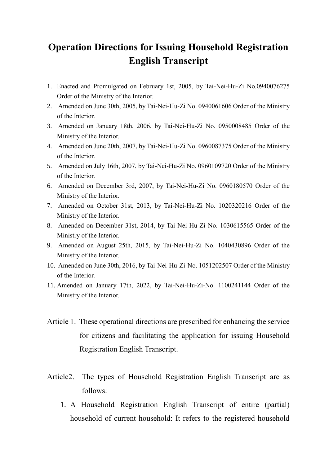## **Operation Directions for Issuing Household Registration English Transcript**

- 1. Enacted and Promulgated on February 1st, 2005, by Tai-Nei-Hu-Zi No.0940076275 Order of the Ministry of the Interior.
- 2. Amended on June 30th, 2005, by Tai-Nei-Hu-Zi No. 0940061606 Order of the Ministry of the Interior.
- 3. Amended on January 18th, 2006, by Tai-Nei-Hu-Zi No. 0950008485 Order of the Ministry of the Interior.
- 4. Amended on June 20th, 2007, by Tai-Nei-Hu-Zi No. 0960087375 Order of the Ministry of the Interior.
- 5. Amended on July 16th, 2007, by Tai-Nei-Hu-Zi No. 0960109720 Order of the Ministry of the Interior.
- 6. Amended on December 3rd, 2007, by Tai-Nei-Hu-Zi No. 0960180570 Order of the Ministry of the Interior.
- 7. Amended on October 31st, 2013, by Tai-Nei-Hu-Zi No. 1020320216 Order of the Ministry of the Interior.
- 8. Amended on December 31st, 2014, by Tai-Nei-Hu-Zi No. 1030615565 Order of the Ministry of the Interior.
- 9. Amended on August 25th, 2015, by Tai-Nei-Hu-Zi No. 1040430896 Order of the Ministry of the Interior.
- 10. Amended on June 30th, 2016, by Tai-Nei-Hu-Zi-No. 1051202507 Order of the Ministry of the Interior.
- 11. Amended on January 17th, 2022, by Tai-Nei-Hu-Zi-No. 1100241144 Order of the Ministry of the Interior.
- Article 1. These operational directions are prescribed for enhancing the service for citizens and facilitating the application for issuing Household Registration English Transcript.
- Article2. The types of Household Registration English Transcript are as follows:
	- 1. A Household Registration English Transcript of entire (partial) household of current household: It refers to the registered household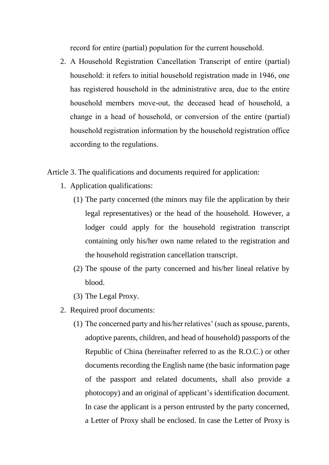record for entire (partial) population for the current household.

2. A Household Registration Cancellation Transcript of entire (partial) household: it refers to initial household registration made in 1946, one has registered household in the administrative area, due to the entire household members move-out, the deceased head of household, a change in a head of household, or conversion of the entire (partial) household registration information by the household registration office according to the regulations.

Article 3. The qualifications and documents required for application:

- 1. Application qualifications:
	- (1) The party concerned (the minors may file the application by their legal representatives) or the head of the household. However, a lodger could apply for the household registration transcript containing only his/her own name related to the registration and the household registration cancellation transcript.
	- (2) The spouse of the party concerned and his/her lineal relative by blood.
	- (3) The Legal Proxy.
- 2. Required proof documents:
	- (1) The concerned party and his/her relatives' (such as spouse, parents, adoptive parents, children, and head of household) passports of the Republic of China (hereinafter referred to as the R.O.C.) or other documents recording the English name (the basic information page of the passport and related documents, shall also provide a photocopy) and an original of applicant's identification document. In case the applicant is a person entrusted by the party concerned, a Letter of Proxy shall be enclosed. In case the Letter of Proxy is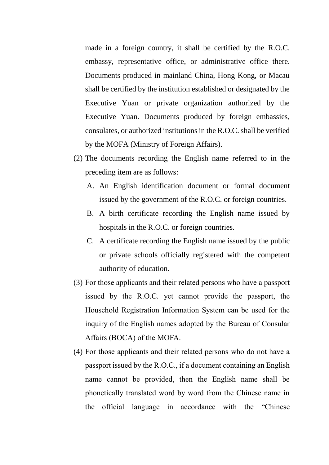made in a foreign country, it shall be certified by the R.O.C. embassy, representative office, or administrative office there. Documents produced in mainland China, Hong Kong, or Macau shall be certified by the institution established or designated by the Executive Yuan or private organization authorized by the Executive Yuan. Documents produced by foreign embassies, consulates, or authorized institutions in the R.O.C. shall be verified by the MOFA (Ministry of Foreign Affairs).

- (2) The documents recording the English name referred to in the preceding item are as follows:
	- A. An English identification document or formal document issued by the government of the R.O.C. or foreign countries.
	- B. A birth certificate recording the English name issued by hospitals in the R.O.C. or foreign countries.
	- C. A certificate recording the English name issued by the public or private schools officially registered with the competent authority of education.
- (3) For those applicants and their related persons who have a passport issued by the R.O.C. yet cannot provide the passport, the Household Registration Information System can be used for the inquiry of the English names adopted by the Bureau of Consular Affairs (BOCA) of the MOFA.
- (4) For those applicants and their related persons who do not have a passport issued by the R.O.C., if a document containing an English name cannot be provided, then the English name shall be phonetically translated word by word from the Chinese name in the official language in accordance with the "Chinese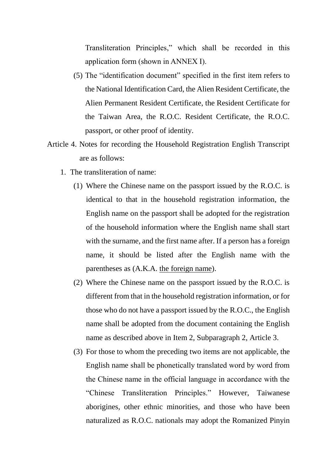Transliteration Principles," which shall be recorded in this application form (shown in ANNEX I).

- (5) The "identification document" specified in the first item refers to the National Identification Card, the Alien Resident Certificate, the Alien Permanent Resident Certificate, the Resident Certificate for the Taiwan Area, the R.O.C. Resident Certificate, the R.O.C. passport, or other proof of identity.
- Article 4. Notes for recording the Household Registration English Transcript are as follows:
	- 1. The transliteration of name:
		- (1) Where the Chinese name on the passport issued by the R.O.C. is identical to that in the household registration information, the English name on the passport shall be adopted for the registration of the household information where the English name shall start with the surname, and the first name after. If a person has a foreign name, it should be listed after the English name with the parentheses as (A.K.A. the foreign name).
		- (2) Where the Chinese name on the passport issued by the R.O.C. is different from that in the household registration information, or for those who do not have a passport issued by the R.O.C., the English name shall be adopted from the document containing the English name as described above in Item 2, Subparagraph 2, Article 3.
		- (3) For those to whom the preceding two items are not applicable, the English name shall be phonetically translated word by word from the Chinese name in the official language in accordance with the "Chinese Transliteration Principles." However, Taiwanese aborigines, other ethnic minorities, and those who have been naturalized as R.O.C. nationals may adopt the Romanized Pinyin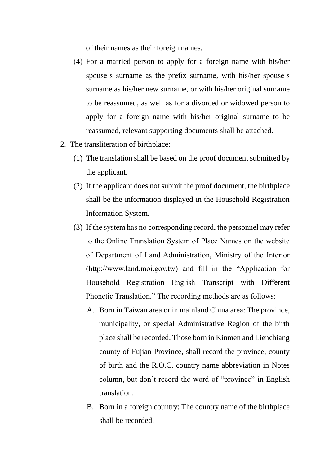of their names as their foreign names.

- (4) For a married person to apply for a foreign name with his/her spouse's surname as the prefix surname, with his/her spouse's surname as his/her new surname, or with his/her original surname to be reassumed, as well as for a divorced or widowed person to apply for a foreign name with his/her original surname to be reassumed, relevant supporting documents shall be attached.
- 2. The transliteration of birthplace:
	- (1) The translation shall be based on the proof document submitted by the applicant.
	- (2) If the applicant does not submit the proof document, the birthplace shall be the information displayed in the Household Registration Information System.
	- (3) If the system has no corresponding record, the personnel may refer to the Online Translation System of Place Names on the website of Department of Land Administration, Ministry of the Interior [\(http://www.land.moi.gov.tw\)](about:blank) and fill in the "Application for Household Registration English Transcript with Different Phonetic Translation." The recording methods are as follows:
		- A. Born in Taiwan area or in mainland China area: The province, municipality, or special Administrative Region of the birth place shall be recorded. Those born in Kinmen and Lienchiang county of Fujian Province, shall record the province, county of birth and the R.O.C. country name abbreviation in Notes column, but don't record the word of "province" in English translation.
		- B. Born in a foreign country: The country name of the birthplace shall be recorded.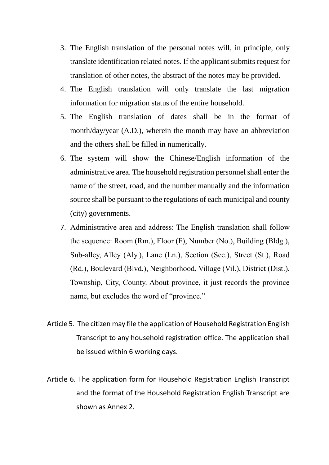- 3. The English translation of the personal notes will, in principle, only translate identification related notes. If the applicant submits request for translation of other notes, the abstract of the notes may be provided.
- 4. The English translation will only translate the last migration information for migration status of the entire household.
- 5. The English translation of dates shall be in the format of month/day/year (A.D.), wherein the month may have an abbreviation and the others shall be filled in numerically.
- 6. The system will show the Chinese/English information of the administrative area. The household registration personnel shall enter the name of the street, road, and the number manually and the information source shall be pursuant to the regulations of each municipal and county (city) governments.
- 7. Administrative area and address: The English translation shall follow the sequence: Room (Rm.), Floor (F), Number (No.), Building (Bldg.), Sub-alley, Alley (Aly.), Lane (Ln.), Section (Sec.), Street (St.), Road (Rd.), Boulevard (Blvd.), Neighborhood, Village (Vil.), District (Dist.), Township, City, County. About province, it just records the province name, but excludes the word of "province."
- Article 5. The citizen may file the application of Household Registration English Transcript to any household registration office. The application shall be issued within 6 working days.
- Article 6. The application form for Household Registration English Transcript and the format of the Household Registration English Transcript are shown as Annex 2.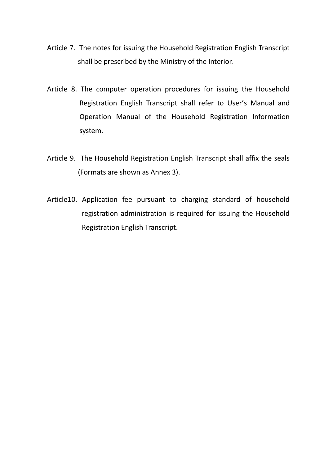- Article 7. The notes for issuing the Household Registration English Transcript shall be prescribed by the Ministry of the Interior.
- Article 8. The computer operation procedures for issuing the Household Registration English Transcript shall refer to User's Manual and Operation Manual of the Household Registration Information system.
- Article 9. The Household Registration English Transcript shall affix the seals (Formats are shown as Annex 3).
- Article10. Application fee pursuant to charging standard of household registration administration is required for issuing the Household Registration English Transcript.